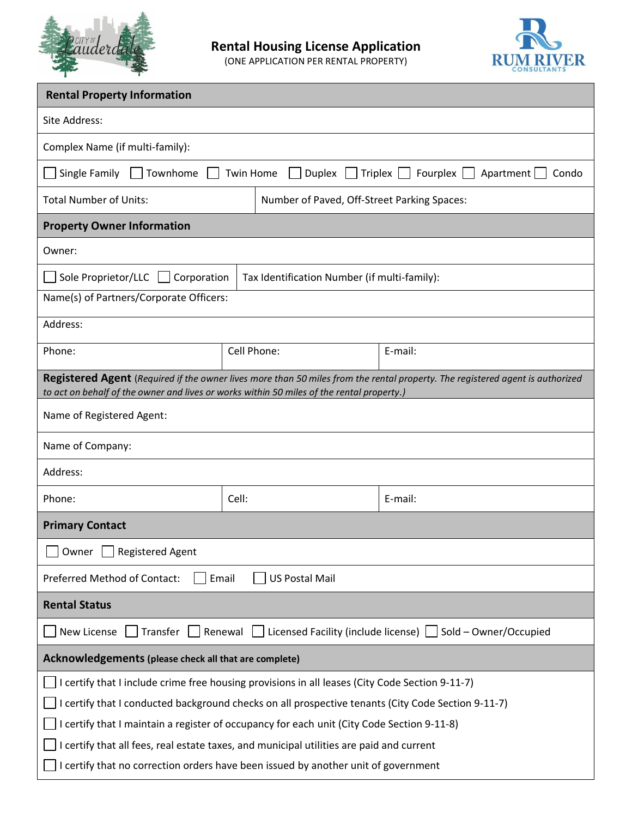

(ONE APPLICATION PER RENTAL PROPERTY)



| <b>Rental Property Information</b>                                                                                                                                                                                                                                                                                                                                                              |                                              |         |  |  |  |  |
|-------------------------------------------------------------------------------------------------------------------------------------------------------------------------------------------------------------------------------------------------------------------------------------------------------------------------------------------------------------------------------------------------|----------------------------------------------|---------|--|--|--|--|
| Site Address:                                                                                                                                                                                                                                                                                                                                                                                   |                                              |         |  |  |  |  |
| Complex Name (if multi-family):                                                                                                                                                                                                                                                                                                                                                                 |                                              |         |  |  |  |  |
| $\Box$ Triplex $\Box$<br>Fourplex   Apartment<br>Single Family<br>Townhome<br>Twin Home<br>Duplex<br>Condo                                                                                                                                                                                                                                                                                      |                                              |         |  |  |  |  |
| <b>Total Number of Units:</b>                                                                                                                                                                                                                                                                                                                                                                   | Number of Paved, Off-Street Parking Spaces:  |         |  |  |  |  |
| <b>Property Owner Information</b>                                                                                                                                                                                                                                                                                                                                                               |                                              |         |  |  |  |  |
| Owner:                                                                                                                                                                                                                                                                                                                                                                                          |                                              |         |  |  |  |  |
| Sole Proprietor/LLC<br>Corporation                                                                                                                                                                                                                                                                                                                                                              | Tax Identification Number (if multi-family): |         |  |  |  |  |
| Name(s) of Partners/Corporate Officers:                                                                                                                                                                                                                                                                                                                                                         |                                              |         |  |  |  |  |
| Address:                                                                                                                                                                                                                                                                                                                                                                                        |                                              |         |  |  |  |  |
| Phone:                                                                                                                                                                                                                                                                                                                                                                                          | Cell Phone:                                  | E-mail: |  |  |  |  |
| Registered Agent (Required if the owner lives more than 50 miles from the rental property. The registered agent is authorized<br>to act on behalf of the owner and lives or works within 50 miles of the rental property.)                                                                                                                                                                      |                                              |         |  |  |  |  |
| Name of Registered Agent:                                                                                                                                                                                                                                                                                                                                                                       |                                              |         |  |  |  |  |
| Name of Company:                                                                                                                                                                                                                                                                                                                                                                                |                                              |         |  |  |  |  |
| Address:                                                                                                                                                                                                                                                                                                                                                                                        |                                              |         |  |  |  |  |
| Phone:                                                                                                                                                                                                                                                                                                                                                                                          | Cell:<br>E-mail:                             |         |  |  |  |  |
| <b>Primary Contact</b>                                                                                                                                                                                                                                                                                                                                                                          |                                              |         |  |  |  |  |
| □ Owner □ Registered Agent                                                                                                                                                                                                                                                                                                                                                                      |                                              |         |  |  |  |  |
| Preferred Method of Contact:<br>Email<br><b>US Postal Mail</b>                                                                                                                                                                                                                                                                                                                                  |                                              |         |  |  |  |  |
| <b>Rental Status</b>                                                                                                                                                                                                                                                                                                                                                                            |                                              |         |  |  |  |  |
| Licensed Facility (include license) $\Box$ Sold – Owner/Occupied<br>New License<br>Transfer<br>Renewal                                                                                                                                                                                                                                                                                          |                                              |         |  |  |  |  |
| Acknowledgements (please check all that are complete)                                                                                                                                                                                                                                                                                                                                           |                                              |         |  |  |  |  |
| I certify that I include crime free housing provisions in all leases (City Code Section 9-11-7)<br>I certify that I conducted background checks on all prospective tenants (City Code Section 9-11-7)<br>I certify that I maintain a register of occupancy for each unit (City Code Section 9-11-8)<br>I certify that all fees, real estate taxes, and municipal utilities are paid and current |                                              |         |  |  |  |  |
| I certify that no correction orders have been issued by another unit of government                                                                                                                                                                                                                                                                                                              |                                              |         |  |  |  |  |